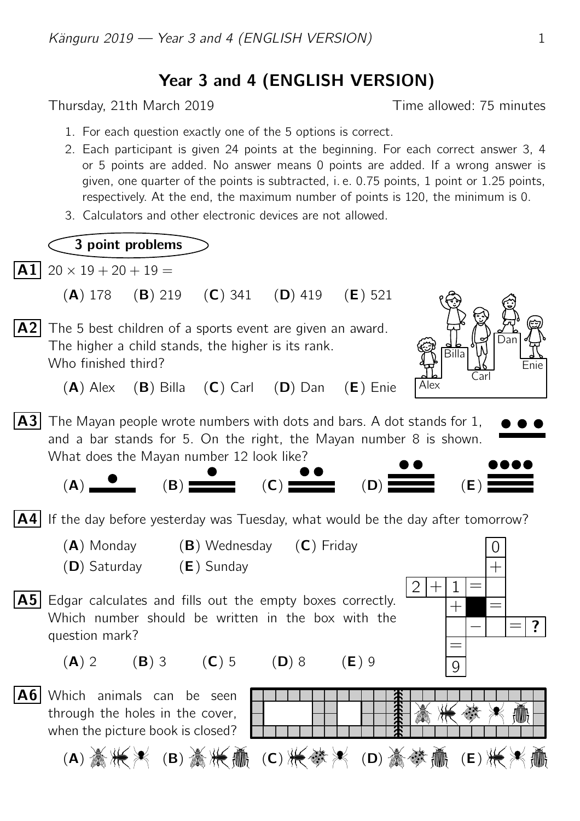## Year 3 and 4 (ENGLISH VERSION)

Thursday, 21th March 2019 Thursday, 21th March 2019

- 1. For each question exactly one of the 5 options is correct.
- 2. Each participant is given 24 points at the beginning. For each correct answer 3, 4 or 5 points are added. No answer means 0 points are added. If a wrong answer is given, one quarter of the points is subtracted, i. e. 0.75 points, 1 point or 1.25 points, respectively. At the end, the maximum number of points is 120, the minimum is 0.
- 3. Calculators and other electronic devices are not allowed.

## 3 point problems

 $|\mathbf{A1}|$  20  $\times$  19 + 20 + 19 =

- (A) 178 (B) 219 (C) 341 (D) 419 (E) 521
- A2 The 5 best children of a sports event are given an award. The higher a child stands, the higher is its rank. Who finished third?



- $(A)$  Alex  $(B)$  Billa  $(C)$  Carl  $(D)$  Dan  $(E)$  Enie
- $|A3|$  The Mayan people wrote numbers with dots and bars. A dot stands for 1, and a bar stands for 5. On the right, the Mayan number 8 is shown. What does the Mayan number 12 look like?



- $\mathsf{A4}$  If the day before yesterday was Tuesday, what would be the day after tomorrow?
	- $(A)$  Monday  $(B)$  Wednesday  $(C)$  Friday
	- (D) Saturday (E) Sunday
- $\mathbf{A5}$  Edgar calculates and fills out the empty boxes correctly. Which number should be written in the box with the question mark?







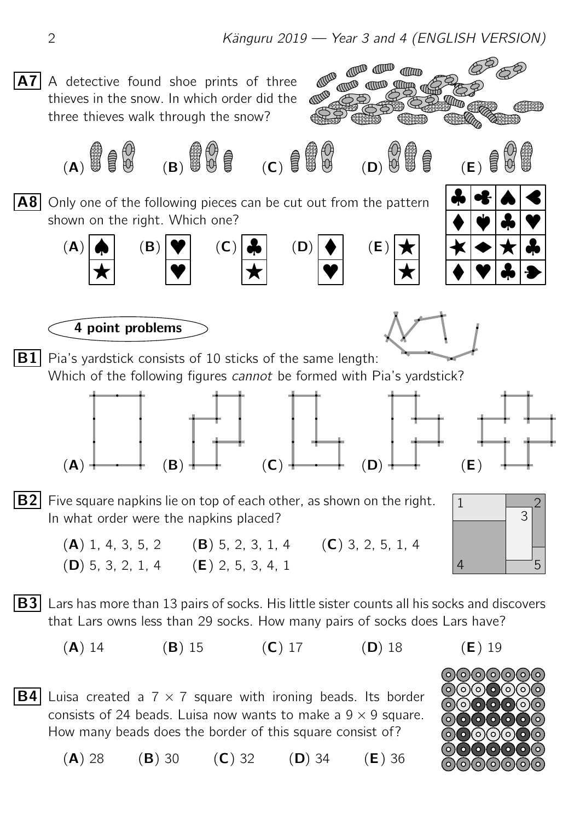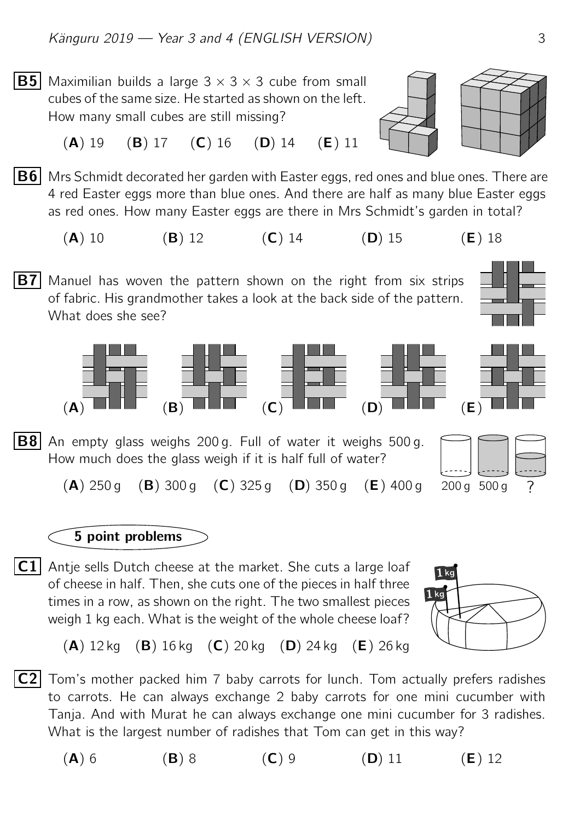**B5** Maximilian builds a large  $3 \times 3 \times 3$  cube from small cubes of the same size. He started as shown on the left. How many small cubes are still missing?





(A) 19 (B) 17 (C) 16 (D) 14 (E) 11

 $|B6|$  Mrs Schmidt decorated her garden with Easter eggs, red ones and blue ones. There are 4 red Easter eggs more than blue ones. And there are half as many blue Easter eggs as red ones. How many Easter eggs are there in Mrs Schmidt's garden in total?

(A) 10 (B) 12 (C) 14 (D) 15 (E) 18

**B7** Manuel has woven the pattern shown on the right from six strips of fabric. His grandmother takes a look at the back side of the pattern. What does she see?



## 5 point problems

 $\fbox{C1}$  Antje sells Dutch cheese at the market. She cuts a large loaf  $\begin{array}{|c|c|} \hline \text{T}^{\prime} & \text{T}^{\prime} \end{array}$ of cheese in half. Then, she cuts one of the pieces in half three times in a row, as shown on the right. The two smallest pieces weigh 1 kg each. What is the weight of the whole cheese loaf?



 $(A)$  12 kg  $(B)$  16 kg  $(C)$  20 kg  $(D)$  24 kg  $(E)$  26 kg

 $|C2|$  Tom's mother packed him 7 baby carrots for lunch. Tom actually prefers radishes to carrots. He can always exchange 2 baby carrots for one mini cucumber with Tanja. And with Murat he can always exchange one mini cucumber for 3 radishes. What is the largest number of radishes that Tom can get in this way?

(A) 6 (B) 8 (C) 9 (D) 11 (E) 12